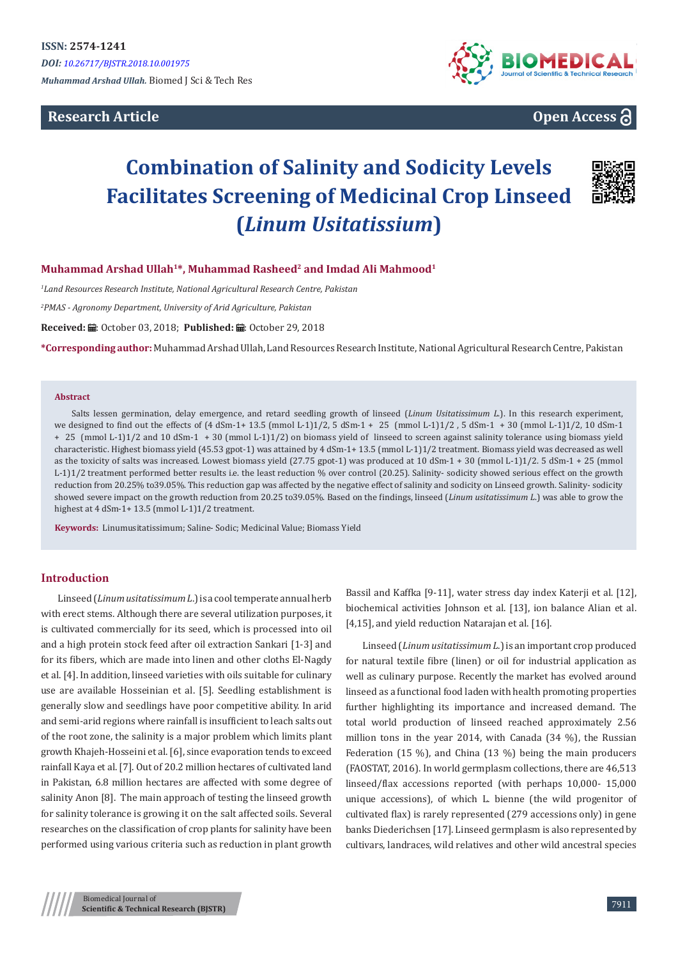**Research Article**



# **Open Access**

# **Combination of Salinity and Sodicity Levels Facilitates Screening of Medicinal Crop Linseed (***Linum Usitatissium***)**



### **Muhammad Arshad Ullah1\*, Muhammad Rasheed2 and Imdad Ali Mahmood1**

*1 Land Resources Research Institute, National Agricultural Research Centre, Pakistan* 

*2 PMAS - Agronomy Department, University of Arid Agriculture, Pakistan*

Received: *=* October 03, 2018; Published: ■: October 29, 2018

**\*Corresponding author:** Muhammad Arshad Ullah, Land Resources Research Institute, National Agricultural Research Centre, Pakistan

#### **Abstract**

Salts lessen germination, delay emergence, and retard seedling growth of linseed (*Linum Usitatissimum L*.). In this research experiment, we designed to find out the effects of (4 dSm-1+ 13.5 (mmol L-1)1/2, 5 dSm-1 + 25 (mmol L-1)1/2, 5 dSm-1 + 30 (mmol L-1)1/2, 10 dSm-1 + 25 (mmol L-1)1/2 and 10 dSm-1 + 30 (mmol L-1)1/2) on biomass yield of linseed to screen against salinity tolerance using biomass yield characteristic. Highest biomass yield (45.53 gpot-1) was attained by 4 dSm-1+ 13.5 (mmol L-1)1/2 treatment. Biomass yield was decreased as well as the toxicity of salts was increased. Lowest biomass yield (27.75 gpot-1) was produced at 10 dSm-1 + 30 (mmol L-1)1/2. 5 dSm-1 + 25 (mmol L-1)1/2 treatment performed better results i.e. the least reduction % over control (20.25). Salinity- sodicity showed serious effect on the growth reduction from 20.25% to39.05%. This reduction gap was affected by the negative effect of salinity and sodicity on Linseed growth. Salinity- sodicity showed severe impact on the growth reduction from 20.25 to39.05%. Based on the findings, linseed (*Linum usitatissimum L*.) was able to grow the highest at 4 dSm-1+ 13.5 (mmol L-1)1/2 treatment.

**Keywords:** Linumusitatissimum; Saline- Sodic; Medicinal Value; Biomass Yield

## **Introduction**

Linseed (*Linum usitatissimum L*.) is a cool temperate annual herb with erect stems. Although there are several utilization purposes, it is cultivated commercially for its seed, which is processed into oil and a high protein stock feed after oil extraction Sankari [1-3] and for its fibers, which are made into linen and other cloths El-Nagdy et al. [4]. In addition, linseed varieties with oils suitable for culinary use are available Hosseinian et al. [5]. Seedling establishment is generally slow and seedlings have poor competitive ability. In arid and semi-arid regions where rainfall is insufficient to leach salts out of the root zone, the salinity is a major problem which limits plant growth Khajeh-Hosseini et al. [6], since evaporation tends to exceed rainfall Kaya et al. [7]. Out of 20.2 million hectares of cultivated land in Pakistan, 6.8 million hectares are affected with some degree of salinity Anon [8]. The main approach of testing the linseed growth for salinity tolerance is growing it on the salt affected soils. Several researches on the classification of crop plants for salinity have been performed using various criteria such as reduction in plant growth

Bassil and Kaffka [9-11], water stress day index Katerji et al. [12], biochemical activities Johnson et al. [13], ion balance Alian et al. [4,15], and yield reduction Natarajan et al. [16].

Linseed (*Linum usitatissimum L*.) is an important crop produced for natural textile fibre (linen) or oil for industrial application as well as culinary purpose. Recently the market has evolved around linseed as a functional food laden with health promoting properties further highlighting its importance and increased demand. The total world production of linseed reached approximately 2.56 million tons in the year 2014, with Canada (34 %), the Russian Federation (15 %), and China (13 %) being the main producers (FAOSTAT, 2016). In world germplasm collections, there are 46,513 linseed/flax accessions reported (with perhaps 10,000- 15,000 unique accessions), of which L. bienne (the wild progenitor of cultivated flax) is rarely represented (279 accessions only) in gene banks Diederichsen [17]. Linseed germplasm is also represented by cultivars, landraces, wild relatives and other wild ancestral species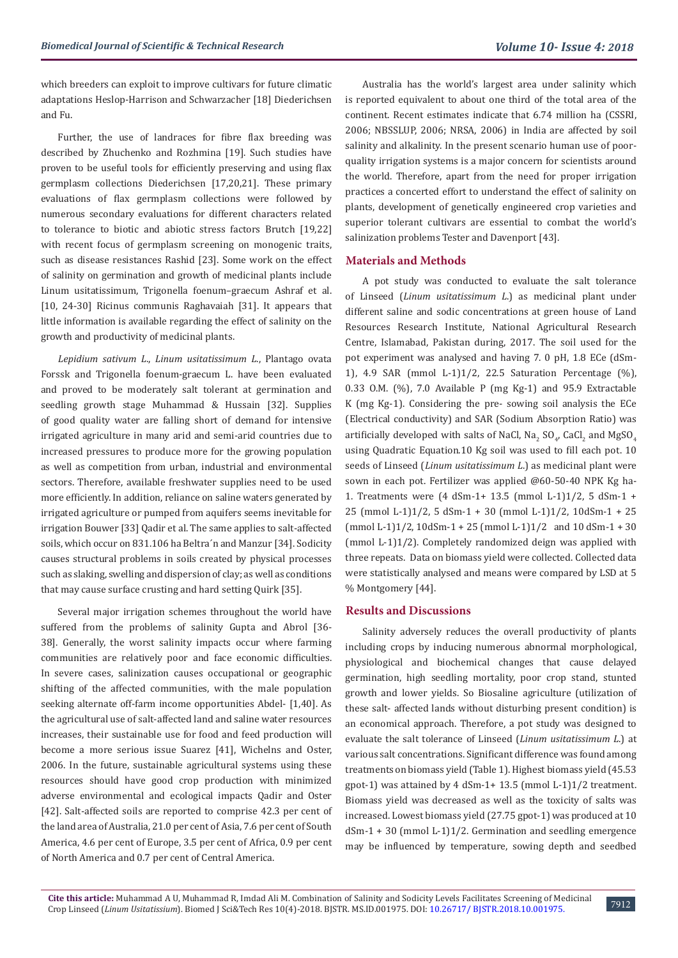which breeders can exploit to improve cultivars for future climatic adaptations Heslop-Harrison and Schwarzacher [18] Diederichsen and Fu.

Further, the use of landraces for fibre flax breeding was described by Zhuchenko and Rozhmina [19]. Such studies have proven to be useful tools for efficiently preserving and using flax germplasm collections Diederichsen [17,20,21]. These primary evaluations of flax germplasm collections were followed by numerous secondary evaluations for different characters related to tolerance to biotic and abiotic stress factors Brutch [19,22] with recent focus of germplasm screening on monogenic traits, such as disease resistances Rashid [23]. Some work on the effect of salinity on germination and growth of medicinal plants include Linum usitatissimum, Trigonella foenum–graecum Ashraf et al. [10, 24-30] Ricinus communis Raghavaiah [31]. It appears that little information is available regarding the effect of salinity on the growth and productivity of medicinal plants.

*Lepidium sativum L*., *Linum usitatissimum L*., Plantago ovata Forssk and Trigonella foenum-graecum L. have been evaluated and proved to be moderately salt tolerant at germination and seedling growth stage Muhammad & Hussain [32]. Supplies of good quality water are falling short of demand for intensive irrigated agriculture in many arid and semi-arid countries due to increased pressures to produce more for the growing population as well as competition from urban, industrial and environmental sectors. Therefore, available freshwater supplies need to be used more efficiently. In addition, reliance on saline waters generated by irrigated agriculture or pumped from aquifers seems inevitable for irrigation Bouwer [33] Qadir et al. The same applies to salt-affected soils, which occur on 831.106 ha Beltra´n and Manzur [34]. Sodicity causes structural problems in soils created by physical processes such as slaking, swelling and dispersion of clay; as well as conditions that may cause surface crusting and hard setting Quirk [35].

Several major irrigation schemes throughout the world have suffered from the problems of salinity Gupta and Abrol [36- 38]. Generally, the worst salinity impacts occur where farming communities are relatively poor and face economic difficulties. In severe cases, salinization causes occupational or geographic shifting of the affected communities, with the male population seeking alternate off-farm income opportunities Abdel- [1,40]. As the agricultural use of salt-affected land and saline water resources increases, their sustainable use for food and feed production will become a more serious issue Suarez [41], Wichelns and Oster, 2006. In the future, sustainable agricultural systems using these resources should have good crop production with minimized adverse environmental and ecological impacts Qadir and Oster [42]. Salt-affected soils are reported to comprise 42.3 per cent of the land area of Australia, 21.0 per cent of Asia, 7.6 per cent of South America, 4.6 per cent of Europe, 3.5 per cent of Africa, 0.9 per cent of North America and 0.7 per cent of Central America.

Australia has the world's largest area under salinity which is reported equivalent to about one third of the total area of the continent. Recent estimates indicate that 6.74 million ha (CSSRI, 2006; NBSSLUP, 2006; NRSA, 2006) in India are affected by soil salinity and alkalinity. In the present scenario human use of poorquality irrigation systems is a major concern for scientists around the world. Therefore, apart from the need for proper irrigation practices a concerted effort to understand the effect of salinity on plants, development of genetically engineered crop varieties and superior tolerant cultivars are essential to combat the world's salinization problems Tester and Davenport [43].

#### **Materials and Methods**

A pot study was conducted to evaluate the salt tolerance of Linseed (*Linum usitatissimum L*.) as medicinal plant under different saline and sodic concentrations at green house of Land Resources Research Institute, National Agricultural Research Centre, Islamabad, Pakistan during, 2017. The soil used for the pot experiment was analysed and having 7. 0 pH, 1.8 ECe (dSm-1), 4.9 SAR (mmol L-1)1/2, 22.5 Saturation Percentage (%), 0.33 O.M. (%), 7.0 Available P (mg Kg-1) and 95.9 Extractable K (mg Kg-1). Considering the pre- sowing soil analysis the ECe (Electrical conductivity) and SAR (Sodium Absorption Ratio) was artificially developed with salts of NaCl, Na<sub>2</sub> SO<sub>4</sub>, CaCl<sub>2</sub> and MgSO<sub>4</sub> using Quadratic Equation.10 Kg soil was used to fill each pot. 10 seeds of Linseed (*Linum usitatissimum L*.) as medicinal plant were sown in each pot. Fertilizer was applied @60-50-40 NPK Kg ha-1. Treatments were (4 dSm-1+ 13.5 (mmol L-1)1/2, 5 dSm-1 + 25 (mmol L-1)1/2, 5 dSm-1 + 30 (mmol L-1)1/2, 10dSm-1 + 25 (mmol L-1)1/2, 10dSm-1 + 25 (mmol L-1)1/2 and 10 dSm-1 + 30 (mmol L-1)1/2). Completely randomized deign was applied with three repeats. Data on biomass yield were collected. Collected data were statistically analysed and means were compared by LSD at 5 % Montgomery [44].

#### **Results and Discussions**

Salinity adversely reduces the overall productivity of plants including crops by inducing numerous abnormal morphological, physiological and biochemical changes that cause delayed germination, high seedling mortality, poor crop stand, stunted growth and lower yields. So Biosaline agriculture (utilization of these salt- affected lands without disturbing present condition) is an economical approach. Therefore, a pot study was designed to evaluate the salt tolerance of Linseed (*Linum usitatissimum L*.) at various salt concentrations. Significant difference was found among treatments on biomass yield (Table 1). Highest biomass yield (45.53 gpot-1) was attained by 4 dSm-1+ 13.5 (mmol L-1)1/2 treatment. Biomass yield was decreased as well as the toxicity of salts was increased. Lowest biomass yield (27.75 gpot-1) was produced at 10 dSm-1 + 30 (mmol L-1)1/2. Germination and seedling emergence may be influenced by temperature, sowing depth and seedbed

7912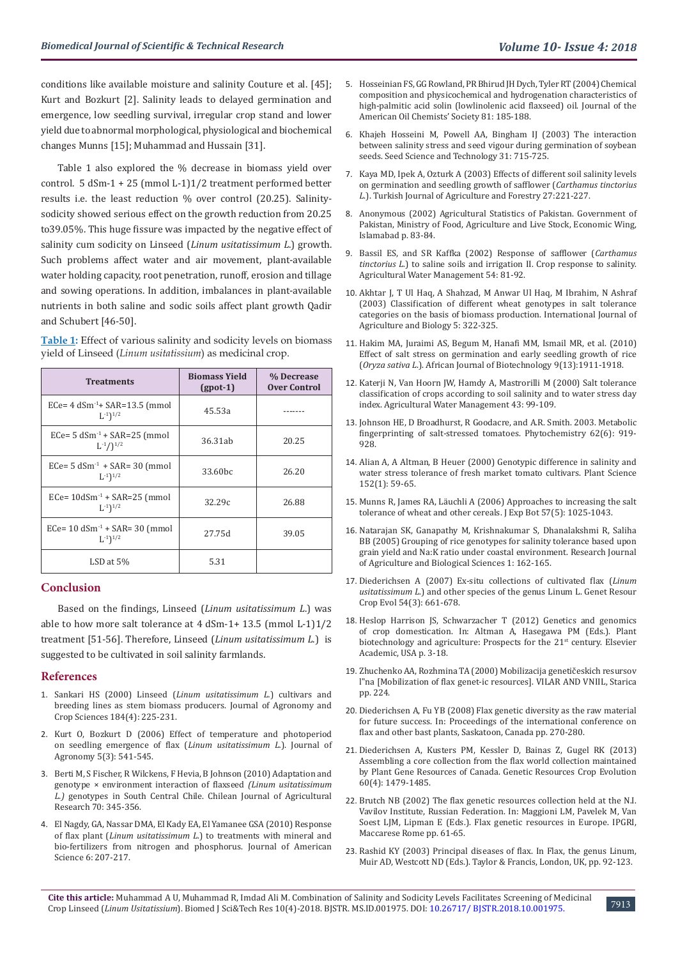conditions like available moisture and salinity Couture et al. [45]; Kurt and Bozkurt [2]. Salinity leads to delayed germination and emergence, low seedling survival, irregular crop stand and lower yield due to abnormal morphological, physiological and biochemical changes Munns [15]; Muhammad and Hussain [31].

Table 1 also explored the % decrease in biomass yield over control. 5 dSm-1 + 25 (mmol L-1)1/2 treatment performed better results i.e. the least reduction % over control (20.25). Salinitysodicity showed serious effect on the growth reduction from 20.25 to39.05%. This huge fissure was impacted by the negative effect of salinity cum sodicity on Linseed (*Linum usitatissimum L*.) growth. Such problems affect water and air movement, plant-available water holding capacity, root penetration, runoff, erosion and tillage and sowing operations. In addition, imbalances in plant-available nutrients in both saline and sodic soils affect plant growth Qadir and Schubert [46-50].

**Table 1:** Effect of various salinity and sodicity levels on biomass yield of Linseed (*Linum usitatissium*) as medicinal crop.

| <b>Treatments</b>                                                       | <b>Biomass Yield</b><br>$(gpot-1)$ | % Decrease<br><b>Over Control</b> |
|-------------------------------------------------------------------------|------------------------------------|-----------------------------------|
| ECe= $4 \text{ dSm}^{-1}$ + SAR=13.5 (mmol<br>$L^{-1}$ ) <sup>1/2</sup> | 45.53a                             |                                   |
| $ECe=5 dSm^{-1} + SAR=25 (mmol)$<br>$L^{-1}/1^{1/2}$                    | 36.31ab                            | 20.25                             |
| $ECe=5 dSm^{-1} + SAR=30 (mmol)$<br>$L^{-1}$ ) <sup>1/2</sup>           | 33.60 <sub>bc</sub>                | 26.20                             |
| $ECe = 10dSm^{-1} + SAR = 25$ (mmol<br>$L^{-1}$ $1^{1/2}$               | 32.29c                             | 26.88                             |
| $ECe = 10$ dSm <sup>-1</sup> + SAR= 30 (mmol)<br>$L^{-1}$ $1^{1/2}$     | 27.75d                             | 39.05                             |
| $LSD$ at $5%$                                                           | 5.31                               |                                   |

#### **Conclusion**

Based on the findings, Linseed (*Linum usitatissimum L*.) was able to how more salt tolerance at 4 dSm-1+ 13.5 (mmol L-1)1/2 treatment [51-56]. Therefore, Linseed (*Linum usitatissimum L*.) is suggested to be cultivated in soil salinity farmlands.

#### **References**

- 1. [Sankari HS \(2000\) Linseed \(](https://onlinelibrary.wiley.com/doi/abs/10.1046/j.1439-037x.2000.00375.x)*Linum usitatissimum L.*) cultivars and [breeding lines as stem biomass producers. Journal of Agronomy and](https://onlinelibrary.wiley.com/doi/abs/10.1046/j.1439-037x.2000.00375.x)  [Crop Sciences 184\(4\): 225-231.](https://onlinelibrary.wiley.com/doi/abs/10.1046/j.1439-037x.2000.00375.x)
- 2. [Kurt O, Bozkurt D \(2006\) Effect of temperature and photoperiod](http://docsdrive.com/pdfs/ansinet/ja/2006/541-545.pdf)  [on seedling emergence of flax \(](http://docsdrive.com/pdfs/ansinet/ja/2006/541-545.pdf)*Linum usitatissimum L.*). Journal of [Agronomy 5\(3\): 541-545.](http://docsdrive.com/pdfs/ansinet/ja/2006/541-545.pdf)
- 3. [Berti M, S Fischer, R Wilckens, F Hevia, B Johnson \(2010\) Adaptation and](http://agris.fao.org/agris-search/search.do?recordID=CL2010G00058)  [genotype × environment interaction of flaxseed](http://agris.fao.org/agris-search/search.do?recordID=CL2010G00058) *(Linum usitatissimum L.)* [genotypes in South Central Chile. Chilean Journal of Agricultural](http://agris.fao.org/agris-search/search.do?recordID=CL2010G00058)  [Research 70: 345-356.](http://agris.fao.org/agris-search/search.do?recordID=CL2010G00058)
- 4. [El Nagdy, GA, Nassar DMA, El Kady EA, El Yamanee GSA \(2010\) Response](https://www.researchgate.net/publication/267770797_Response_of_Flax_Plant_Linum_usitatissimum_L_to_Treatments_with_Mineral_and_Bio-Fertilizers_from_Nitrogen_and_Phosphorus)  of flax plant (*Linum usitatissimum L.*[\) to treatments with mineral and](https://www.researchgate.net/publication/267770797_Response_of_Flax_Plant_Linum_usitatissimum_L_to_Treatments_with_Mineral_and_Bio-Fertilizers_from_Nitrogen_and_Phosphorus)  [bio-fertilizers from nitrogen and phosphorus. Journal of American](https://www.researchgate.net/publication/267770797_Response_of_Flax_Plant_Linum_usitatissimum_L_to_Treatments_with_Mineral_and_Bio-Fertilizers_from_Nitrogen_and_Phosphorus)  [Science 6: 207-217.](https://www.researchgate.net/publication/267770797_Response_of_Flax_Plant_Linum_usitatissimum_L_to_Treatments_with_Mineral_and_Bio-Fertilizers_from_Nitrogen_and_Phosphorus)
- 5. [Hosseinian FS, GG Rowland, PR Bhirud JH Dych, Tyler RT \(2004\) Chemical](https://www.researchgate.net/publication/227263810_Chemical_Composition_and_Physicochemical_and_Hydrogenation_Characteristics_of_High-Palmitic_Acid_Solin_low-linolenic_acid_flaxseed_Oil) [composition and physicochemical and hydrogenation characteristics of](https://www.researchgate.net/publication/227263810_Chemical_Composition_and_Physicochemical_and_Hydrogenation_Characteristics_of_High-Palmitic_Acid_Solin_low-linolenic_acid_flaxseed_Oil) [high-palmitic acid solin \(lowlinolenic acid flaxseed\) oil. Journal of the](https://www.researchgate.net/publication/227263810_Chemical_Composition_and_Physicochemical_and_Hydrogenation_Characteristics_of_High-Palmitic_Acid_Solin_low-linolenic_acid_flaxseed_Oil) [American Oil Chemists' Society 81: 185-188.](https://www.researchgate.net/publication/227263810_Chemical_Composition_and_Physicochemical_and_Hydrogenation_Characteristics_of_High-Palmitic_Acid_Solin_low-linolenic_acid_flaxseed_Oil)
- 6. [Khajeh Hosseini M, Powell AA, Bingham IJ \(2003\) The interaction](https://www.researchgate.net/publication/233626766_The_interaction_between_salinity_stress_and_seed_vigour_during_germination_of_soyabean_seeds) [between salinity stress and seed vigour during germination of soybean](https://www.researchgate.net/publication/233626766_The_interaction_between_salinity_stress_and_seed_vigour_during_germination_of_soyabean_seeds) [seeds. Seed Science and Technology 31: 715-725.](https://www.researchgate.net/publication/233626766_The_interaction_between_salinity_stress_and_seed_vigour_during_germination_of_soyabean_seeds)
- 7. [Kaya MD, Ipek A, Ozturk A \(2003\) Effects of different soil salinity levels](https://www.researchgate.net/publication/242275590_Effects_of_Different_Soil_Salinity_Levels_on_Germination_and_Seedling_Growth_of_Safflower_Carthamus_tinctorius_L) [on germination and seedling growth of safflower \(](https://www.researchgate.net/publication/242275590_Effects_of_Different_Soil_Salinity_Levels_on_Germination_and_Seedling_Growth_of_Safflower_Carthamus_tinctorius_L)*Carthamus tinctorius L*[.\). Turkish Journal of Agriculture and Forestry 27:221-227.](https://www.researchgate.net/publication/242275590_Effects_of_Different_Soil_Salinity_Levels_on_Germination_and_Seedling_Growth_of_Safflower_Carthamus_tinctorius_L)
- 8. [Anonymous \(2002\) Agricultural Statistics of Pakistan. Government of](http://www.pbs.gov.pk/content/agriculture-statistics-pakistan-2010-11) [Pakistan, Ministry of Food, Agriculture and Live Stock, Economic Wing,](http://www.pbs.gov.pk/content/agriculture-statistics-pakistan-2010-11) [Islamabad p. 83-84.](http://www.pbs.gov.pk/content/agriculture-statistics-pakistan-2010-11)
- 9. [Bassil ES, and SR Kaffka \(2002\) Response of safflower \(](https://www.sciencedirect.com/science/article/pii/S0378377401001445)*Carthamus tinctorius L.*[\) to saline soils and irrigation II. Crop response to salinity.](https://www.sciencedirect.com/science/article/pii/S0378377401001445) [Agricultural Water Management 54: 81-92.](https://www.sciencedirect.com/science/article/pii/S0378377401001445)
- 10. [Akhtar J, T Ul Haq, A Shahzad, M Anwar Ul Haq, M Ibrahim, N Ashraf](https://www.researchgate.net/publication/234114423_Classification_of_different_wheat_genotypes_in_salt_tolerance_categories_on_the_basis_of_biomass_production) [\(2003\) Classification of different wheat genotypes in salt tolerance](https://www.researchgate.net/publication/234114423_Classification_of_different_wheat_genotypes_in_salt_tolerance_categories_on_the_basis_of_biomass_production) [categories on the basis of biomass production. International Journal of](https://www.researchgate.net/publication/234114423_Classification_of_different_wheat_genotypes_in_salt_tolerance_categories_on_the_basis_of_biomass_production) [Agriculture and Biology 5: 322-325.](https://www.researchgate.net/publication/234114423_Classification_of_different_wheat_genotypes_in_salt_tolerance_categories_on_the_basis_of_biomass_production)
- 11. [Hakim MA, Juraimi AS, Begum M, Hanafi MM, Ismail MR, et al. \(2010\)](https://www.ajol.info/index.php/ajb/article/view/78404) [Effect of salt stress on germination and early seedling growth of rice](https://www.ajol.info/index.php/ajb/article/view/78404) (*Oryza sativa L*[.\). African Journal of Biotechnology 9\(13\):1911-1918.](https://www.ajol.info/index.php/ajb/article/view/78404)
- 12. [Katerji N, Van Hoorn JW, Hamdy A, Mastrorilli M \(2000\) Salt tolerance](https://www.sciencedirect.com/science/article/pii/S0378377499000487) [classification of crops according to soil salinity and to water stress day](https://www.sciencedirect.com/science/article/pii/S0378377499000487) [index. Agricultural Water Management 43: 99-109.](https://www.sciencedirect.com/science/article/pii/S0378377499000487)
- 13. [Johnson HE, D Broadhurst, R Goodacre, and A.R. Smith. 2003. Metabolic](https://www.ncbi.nlm.nih.gov/pubmed/12590119) [fingerprinting of salt-stressed tomatoes. Phytochemistry 62\(6\): 919-](https://www.ncbi.nlm.nih.gov/pubmed/12590119) [928.](https://www.ncbi.nlm.nih.gov/pubmed/12590119)
- 14. [Alian A, A Altman, B Heuer \(2000\) Genotypic difference in salinity and](https://www.sciencedirect.com/science/article/pii/S0168945299002204) [water stress tolerance of fresh market tomato cultivars. Plant Science](https://www.sciencedirect.com/science/article/pii/S0168945299002204) [152\(1\): 59-65.](https://www.sciencedirect.com/science/article/pii/S0168945299002204)
- 15. [Munns R, James RA, Läuchli A \(2006\) Approaches to increasing the salt](https://www.ncbi.nlm.nih.gov/pubmed/16510517) [tolerance of wheat and other cereals. J Exp Bot 57\(5\): 1025-1043.](https://www.ncbi.nlm.nih.gov/pubmed/16510517)
- 16. Natarajan SK, Ganapathy M, Krishnakumar S, Dhanalakshmi R, Saliha BB (2005) Grouping of rice genotypes for salinity tolerance based upon grain yield and Na:K ratio under coastal environment. Research Journal of Agriculture and Biological Sciences 1: 162-165.
- 17. [Diederichsen A \(2007\) Ex-situ collections of cultivated flax \(](https://link.springer.com/article/10.1007/s10722-006-9119-z)*Linum usitatissimum L.*[\) and other species of the genus Linum L. Genet Resour](https://link.springer.com/article/10.1007/s10722-006-9119-z) [Crop Evol 54\(3\): 661-678.](https://link.springer.com/article/10.1007/s10722-006-9119-z)
- 18. [Heslop Harrison JS, Schwarzacher T \(2012\) Genetics and genomics](https://www.researchgate.net/publication/259711491_Plant_Biotechnology_and_Agriculture_Prospects_for_the_21st_Century_edited_by_Arie_Altman_and_Paul_Michael_Hasegawa) [of crop domestication. In: Altman A, Hasegawa PM \(Eds.\). Plant](https://www.researchgate.net/publication/259711491_Plant_Biotechnology_and_Agriculture_Prospects_for_the_21st_Century_edited_by_Arie_Altman_and_Paul_Michael_Hasegawa) [biotechnology and agriculture: Prospects for the 21st](https://www.researchgate.net/publication/259711491_Plant_Biotechnology_and_Agriculture_Prospects_for_the_21st_Century_edited_by_Arie_Altman_and_Paul_Michael_Hasegawa) century. Elsevier [Academic, USA p. 3-18.](https://www.researchgate.net/publication/259711491_Plant_Biotechnology_and_Agriculture_Prospects_for_the_21st_Century_edited_by_Arie_Altman_and_Paul_Michael_Hasegawa)
- 19. Zhuchenko AA, Rozhmina TA (2000) Mobilizacija genetičeskich resursov l"na [Mobilization of flax genet-ic resources]. VILAR AND VNIIL, Starica pp. 224.
- 20. [Diederichsen A, Fu YB \(2008\) Flax genetic diversity as the raw material](http://citeseerx.ist.psu.edu/viewdoc/download?doi=10.1.1.452.2104&rep=rep1&type=pdf) [for future success. In: Proceedings of the international conference on](http://citeseerx.ist.psu.edu/viewdoc/download?doi=10.1.1.452.2104&rep=rep1&type=pdf) [flax and other bast plants, Saskatoon, Canada pp. 270-280.](http://citeseerx.ist.psu.edu/viewdoc/download?doi=10.1.1.452.2104&rep=rep1&type=pdf)
- 21. [Diederichsen A, Kusters PM, Kessler D, Bainas Z, Gugel RK \(2013\)](https://link.springer.com/article/10.1007/s10722-012-9936-1) [Assembling a core collection from the flax world collection maintained](https://link.springer.com/article/10.1007/s10722-012-9936-1) [by Plant Gene Resources of Canada. Genetic Resources Crop Evolution](https://link.springer.com/article/10.1007/s10722-012-9936-1) [60\(4\): 1479-1485.](https://link.springer.com/article/10.1007/s10722-012-9936-1)
- 22. Brutch NB (2002) The flax genetic resources collection held at the N.I. Vavilov Institute, Russian Federation. In: Maggioni LM, Pavelek M, Van Soest LJM, Lipman E (Eds.). Flax genetic resources in Europe. IPGRI, Maccarese Rome pp. 61-65.
- 23. Rashid KY (2003) Principal diseases of flax. In Flax, the genus Linum, Muir AD, Westcott ND (Eds.). Taylor & Francis, London, UK, pp. 92-123.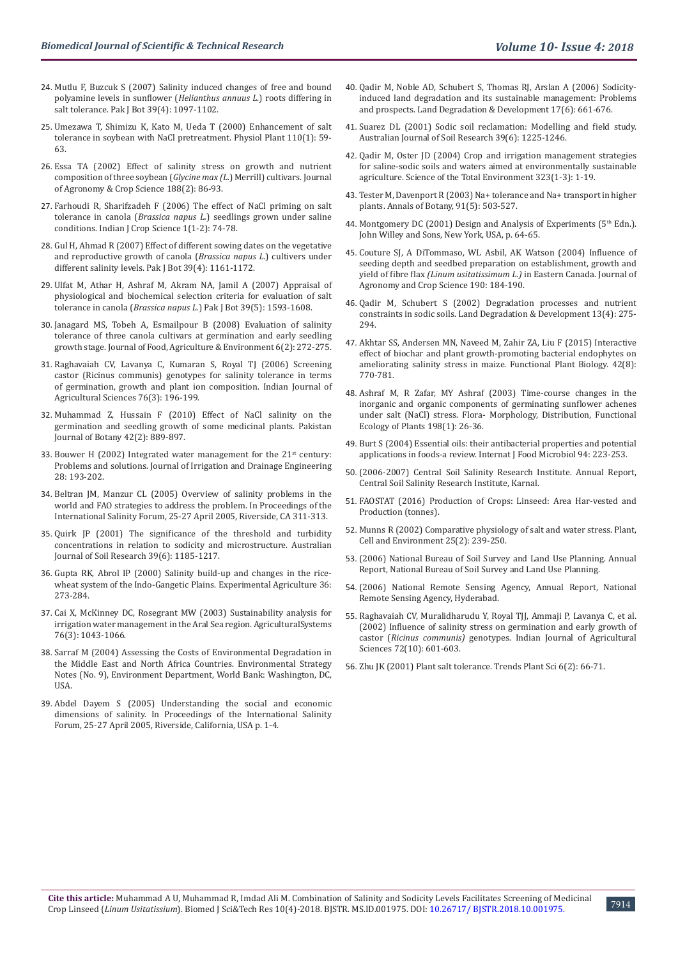- 24. [Mutlu F, Buzcuk S \(2007\) Salinity induced changes of free and bound](https://www.researchgate.net/publication/266449214_Salinity-induced_changes_of_free_and_bound_polyamine_levels_in_sunflower_Helianthus_annuus_L_roots_differing_in_salt_tolerance)  [polyamine levels in sunflower \(](https://www.researchgate.net/publication/266449214_Salinity-induced_changes_of_free_and_bound_polyamine_levels_in_sunflower_Helianthus_annuus_L_roots_differing_in_salt_tolerance)*Helianthus annuus L.*) roots differing in [salt tolerance. Pak J Bot 39\(4\): 1097-1102.](https://www.researchgate.net/publication/266449214_Salinity-induced_changes_of_free_and_bound_polyamine_levels_in_sunflower_Helianthus_annuus_L_roots_differing_in_salt_tolerance)
- 25. [Umezawa T, Shimizu K, Kato M, Ueda T \(2000\) Enhancement of salt](https://onlinelibrary.wiley.com/doi/abs/10.1034/j.1399-3054.2000.110108.x)  [tolerance in soybean with NaCl pretreatment. Physiol Plant 110\(1\): 59-](https://onlinelibrary.wiley.com/doi/abs/10.1034/j.1399-3054.2000.110108.x) [63.](https://onlinelibrary.wiley.com/doi/abs/10.1034/j.1399-3054.2000.110108.x)
- 26. [Essa TA \(2002\) Effect of salinity stress on growth and nutrient](https://onlinelibrary.wiley.com/doi/full/10.1046/j.1439-037X.2002.00537.x)  [composition of three soybean \(](https://onlinelibrary.wiley.com/doi/full/10.1046/j.1439-037X.2002.00537.x)*Glycine max (L.*) Merrill) cultivars. Journal [of Agronomy & Crop Science 188\(2\): 86-93.](https://onlinelibrary.wiley.com/doi/full/10.1046/j.1439-037X.2002.00537.x)
- 27. [Farhoudi R, Sharifzadeh F \(2006\) The effect of NaCl priming on salt](https://www.researchgate.net/publication/233676283_The_effects_of_NaCl_priming_on_salt_tolerance_in_canola_Brassica_napus_seedlings_grown_under_saline_conditions)  tolerance in canola (*Brassica napus L.*[\) seedlings grown under saline](https://www.researchgate.net/publication/233676283_The_effects_of_NaCl_priming_on_salt_tolerance_in_canola_Brassica_napus_seedlings_grown_under_saline_conditions)  [conditions. Indian J Crop Science 1\(1-2\): 74-78.](https://www.researchgate.net/publication/233676283_The_effects_of_NaCl_priming_on_salt_tolerance_in_canola_Brassica_napus_seedlings_grown_under_saline_conditions)
- 28. [Gul H, Ahmad R \(2007\) Effect of different sowing dates on the vegetative](https://www.researchgate.net/publication/267548059_Effect_of_different_sowing_dates_on_the_vegetative_and_reproductive_growth_of_canola_Brassica_napus_L_cultivars_under_different_salinity_levels)  [and reproductive growth of canola \(](https://www.researchgate.net/publication/267548059_Effect_of_different_sowing_dates_on_the_vegetative_and_reproductive_growth_of_canola_Brassica_napus_L_cultivars_under_different_salinity_levels)*Brassica napus L.*) cultivers under [different salinity levels. Pak J Bot 39\(4\): 1161-1172.](https://www.researchgate.net/publication/267548059_Effect_of_different_sowing_dates_on_the_vegetative_and_reproductive_growth_of_canola_Brassica_napus_L_cultivars_under_different_salinity_levels)
- 29. [Ulfat M, Athar H, Ashraf M, Akram NA, Jamil A \(2007\) Appraisal of](https://www.escholar.manchester.ac.uk/jrul/item/?pid=uk-ac-man-scw:158077)  [physiological and biochemical selection criteria for evaluation of salt](https://www.escholar.manchester.ac.uk/jrul/item/?pid=uk-ac-man-scw:158077)  tolerance in canola (*Brassica napus L.*[\) Pak J Bot 39\(5\): 1593-1608.](https://www.escholar.manchester.ac.uk/jrul/item/?pid=uk-ac-man-scw:158077)
- 30. [Janagard MS, Tobeh A, Esmailpour B \(2008\) Evaluation of salinity](https://www.researchgate.net/publication/268204402_Evaluation_of_salinity_tolerance_of_three_canola_cultivars_at_germination_and_early_seedling_growth_stage)  [tolerance of three canola cultivars at germination and early seedling](https://www.researchgate.net/publication/268204402_Evaluation_of_salinity_tolerance_of_three_canola_cultivars_at_germination_and_early_seedling_growth_stage)  [growth stage. Journal of Food, Agriculture & Environment 6\(2\): 272-275.](https://www.researchgate.net/publication/268204402_Evaluation_of_salinity_tolerance_of_three_canola_cultivars_at_germination_and_early_seedling_growth_stage)
- 31. [Raghavaiah CV, Lavanya C, Kumaran S, Royal TJ \(2006\) Screening](https://www.researchgate.net/publication/285752116_Screening_castor_Ricinus_communis_genotypes_for_salinity_tolerance_in_terms_of_germination_growth_and_plant_ion_composition)  [castor \(Ricinus communis\) genotypes for salinity tolerance in terms](https://www.researchgate.net/publication/285752116_Screening_castor_Ricinus_communis_genotypes_for_salinity_tolerance_in_terms_of_germination_growth_and_plant_ion_composition)  [of germination, growth and plant ion composition. Indian Journal of](https://www.researchgate.net/publication/285752116_Screening_castor_Ricinus_communis_genotypes_for_salinity_tolerance_in_terms_of_germination_growth_and_plant_ion_composition)  [Agricultural Sciences 76\(3\): 196-199.](https://www.researchgate.net/publication/285752116_Screening_castor_Ricinus_communis_genotypes_for_salinity_tolerance_in_terms_of_germination_growth_and_plant_ion_composition)
- 32. [Muhammad Z, Hussain F \(2010\) Effect of NaCl salinity on the](https://www.researchgate.net/publication/236608877_Effect_of_NaCl_salinity_on_the_germination_and_seedling_growth_of_some_medicinal_plants)  [germination and seedling growth of some medicinal plants. Pakistan](https://www.researchgate.net/publication/236608877_Effect_of_NaCl_salinity_on_the_germination_and_seedling_growth_of_some_medicinal_plants)  [Journal of Botany 42\(2\): 889-897.](https://www.researchgate.net/publication/236608877_Effect_of_NaCl_salinity_on_the_germination_and_seedling_growth_of_some_medicinal_plants)
- 33. Bouwer H (2002) Integrated water management for the  $21<sup>st</sup>$  century: [Problems and solutions. Journal of Irrigation and Drainage Engineering](https://ascelibrary.org/doi/10.1061/%28ASCE%290733-9437%282002%29128%3A4%28193%29)  [28: 193-202.](https://ascelibrary.org/doi/10.1061/%28ASCE%290733-9437%282002%29128%3A4%28193%29)
- 34. [Beltran JM, Manzur CL \(2005\) Overview of salinity problems in the](https://eurekamag.com/research/012/808/012808515.php)  [world and FAO strategies to address the problem. In Proceedings of the](https://eurekamag.com/research/012/808/012808515.php)  [International Salinity Forum, 25-27 April 2005, Riverside, CA 311-313.](https://eurekamag.com/research/012/808/012808515.php)
- 35. [Quirk JP \(2001\) The significance of the threshold and turbidity](https://www.researchgate.net/publication/262962240_The_significant_of_the_threshold_and_turbidity_concentrations_in_relation_to_sodicity_and_microstructure)  [concentrations in relation to sodicity and microstructure. Australian](https://www.researchgate.net/publication/262962240_The_significant_of_the_threshold_and_turbidity_concentrations_in_relation_to_sodicity_and_microstructure)  [Journal of Soil Research 39\(6\): 1185-1217.](https://www.researchgate.net/publication/262962240_The_significant_of_the_threshold_and_turbidity_concentrations_in_relation_to_sodicity_and_microstructure)
- 36. [Gupta RK, Abrol IP \(2000\) Salinity build-up and changes in the rice](https://www.google.com/search?q=Salinity+build-up+and+changes+in+the+rice-wheat+system+of+the+Indo-Gangetic+Plains&ie=utf-8&oe=utf-8&client=firefox-b-ab)[wheat system of the Indo-Gangetic Plains. Experimental Agriculture 36:](https://www.google.com/search?q=Salinity+build-up+and+changes+in+the+rice-wheat+system+of+the+Indo-Gangetic+Plains&ie=utf-8&oe=utf-8&client=firefox-b-ab)  [273-284.](https://www.google.com/search?q=Salinity+build-up+and+changes+in+the+rice-wheat+system+of+the+Indo-Gangetic+Plains&ie=utf-8&oe=utf-8&client=firefox-b-ab)
- 37. [Cai X, McKinney DC, Rosegrant MW \(2003\) Sustainability analysis for](https://www.sciencedirect.com/science/article/pii/S0308521X02000288)  [irrigation water management in the Aral Sea region. AgriculturalSystems](https://www.sciencedirect.com/science/article/pii/S0308521X02000288)  [76\(3\): 1043-1066.](https://www.sciencedirect.com/science/article/pii/S0308521X02000288)
- 38. Sarraf M (2004) Assessing the Costs of Environmental Degradation in the Middle East and North Africa Countries. Environmental Strategy Notes (No. 9), Environment Department, World Bank: Washington, DC, USA.
- 39. Abdel Dayem S (2005) Understanding the social and economic dimensions of salinity. In Proceedings of the International Salinity Forum, 25-27 April 2005, Riverside, California, USA p. 1-4.
- 40. [Qadir M, Noble AD, Schubert S, Thomas RJ, Arslan A \(2006\) Sodicity](https://onlinelibrary.wiley.com/doi/abs/10.1002/ldr.751)[induced land degradation and its sustainable management: Problems](https://onlinelibrary.wiley.com/doi/abs/10.1002/ldr.751) [and prospects. Land Degradation & Development 17\(6\): 661-676.](https://onlinelibrary.wiley.com/doi/abs/10.1002/ldr.751)
- 41. [Suarez DL \(2001\) Sodic soil reclamation: Modelling and field study.](http://www.publish.csiro.au/SR/SR00094) [Australian Journal of Soil Research 39\(6\): 1225-1246.](http://www.publish.csiro.au/SR/SR00094)
- 42. [Qadir M, Oster JD \(2004\) Crop and irrigation management strategies](https://www.sciencedirect.com/science/article/pii/S0048969703005965) [for saline-sodic soils and waters aimed at environmentally sustainable](https://www.sciencedirect.com/science/article/pii/S0048969703005965) [agriculture. Science of the Total Environment 323\(1-3\): 1-19.](https://www.sciencedirect.com/science/article/pii/S0048969703005965)
- 43. [Tester M, Davenport R \(2003\) Na+ tolerance and Na+ transport in higher](https://www.ncbi.nlm.nih.gov/pubmed/12646496) [plants. Annals of Botany, 91\(5\): 503-527.](https://www.ncbi.nlm.nih.gov/pubmed/12646496)
- 44. Montgomery DC (2001) Design and Analysis of Experiments (5<sup>th</sup> Edn.). John Willey and Sons, New York, USA, p. 64-65.
- 45. [Couture SJ, A DiTommaso, WL Asbil, AK Watson \(2004\) Influence of](https://onlinelibrary.wiley.com/doi/abs/10.1111/j.1439-037X.2004.00091.x) [seeding depth and seedbed preparation on establishment, growth and](https://onlinelibrary.wiley.com/doi/abs/10.1111/j.1439-037X.2004.00091.x) yield of fibre flax *[\(Linum usitatissimum L.\)](https://onlinelibrary.wiley.com/doi/abs/10.1111/j.1439-037X.2004.00091.x)* in Eastern Canada. Journal of [Agronomy and Crop Science 190: 184-190.](https://onlinelibrary.wiley.com/doi/abs/10.1111/j.1439-037X.2004.00091.x)
- 46. [Qadir M, Schubert S \(2002\) Degradation processes and nutrient](https://onlinelibrary.wiley.com/doi/abs/10.1002/ldr.504) [constraints in sodic soils. Land Degradation & Development 13\(4\): 275-](https://onlinelibrary.wiley.com/doi/abs/10.1002/ldr.504) [294.](https://onlinelibrary.wiley.com/doi/abs/10.1002/ldr.504)
- 47. [Akhtar SS, Andersen MN, Naveed M, Zahir ZA, Liu F \(2015\) Interactive](https://www.researchgate.net/publication/275344838_Interactive_effect_of_biochar_and_plant_growth-promoting_bacterial_endophytes_on_ameliorating_salinity_stress_in_maize) [effect of biochar and plant growth-promoting bacterial endophytes on](https://www.researchgate.net/publication/275344838_Interactive_effect_of_biochar_and_plant_growth-promoting_bacterial_endophytes_on_ameliorating_salinity_stress_in_maize) [ameliorating salinity stress in maize. Functional Plant Biology. 42\(8\):](https://www.researchgate.net/publication/275344838_Interactive_effect_of_biochar_and_plant_growth-promoting_bacterial_endophytes_on_ameliorating_salinity_stress_in_maize) [770-781.](https://www.researchgate.net/publication/275344838_Interactive_effect_of_biochar_and_plant_growth-promoting_bacterial_endophytes_on_ameliorating_salinity_stress_in_maize)
- 48. [Ashraf M, R Zafar, MY Ashraf \(2003\) Time-course changes in the](https://www.sciencedirect.com/science/article/pii/S0367253004700493) [inorganic and organic components of germinating sunflower achenes](https://www.sciencedirect.com/science/article/pii/S0367253004700493) [under salt \(NaCl\) stress. Flora- Morphology, Distribution, Functional](https://www.sciencedirect.com/science/article/pii/S0367253004700493) [Ecology of Plants 198\(1\): 26-36.](https://www.sciencedirect.com/science/article/pii/S0367253004700493)
- 49. [Burt S \(2004\) Essential oils: their antibacterial properties and potential](https://www.sciencedirect.com/science/article/pii/S0168160504001680) [applications in foods-a review. Internat J Food Microbiol 94: 223-253.](https://www.sciencedirect.com/science/article/pii/S0168160504001680)
- 50. (2006-2007) [Central Soil Salinity Research Institute. Annual Report,](http://www.cssri.org/) [Central Soil Salinity Research Institute, Karnal.](http://www.cssri.org/)
- 51. FAOSTAT (2016) Production of Crops: Linseed: Area Har-vested and Production (tonnes).
- 52. [Munns R \(2002\) Comparative physiology of salt and water stress. Plant,](https://www.ncbi.nlm.nih.gov/pubmed/11841667) [Cell and Environment 25\(2\): 239-250.](https://www.ncbi.nlm.nih.gov/pubmed/11841667)
- 53. (2006) National Bureau of Soil Survey and Land Use Planning. Annual Report, National Bureau of Soil Survey and Land Use Planning.
- 54. (2006) National Remote Sensing Agency, Annual Report, National Remote Sensing Agency, Hyderabad.
- 55. [Raghavaiah CV, Muralidharudu Y, Royal TJJ, Ammaji P, Lavanya C, et al.](https://www.researchgate.net/publication/285851906_Influence_of_salinity_stress_on_germination_and_early_growth_of_castor_Ricinus_communis_genotypes) [\(2002\) Influence of salinity stress on germination and early growth of](https://www.researchgate.net/publication/285851906_Influence_of_salinity_stress_on_germination_and_early_growth_of_castor_Ricinus_communis_genotypes) castor (*Ricinus communis)* [genotypes. Indian Journal of Agricultural](https://www.researchgate.net/publication/285851906_Influence_of_salinity_stress_on_germination_and_early_growth_of_castor_Ricinus_communis_genotypes) [Sciences 72\(10\): 601-603.](https://www.researchgate.net/publication/285851906_Influence_of_salinity_stress_on_germination_and_early_growth_of_castor_Ricinus_communis_genotypes)
- 56. [Zhu JK \(2001\) Plant salt tolerance. Trends Plant Sci 6\(2\): 66-71.](https://www.ncbi.nlm.nih.gov/pubmed/11173290)